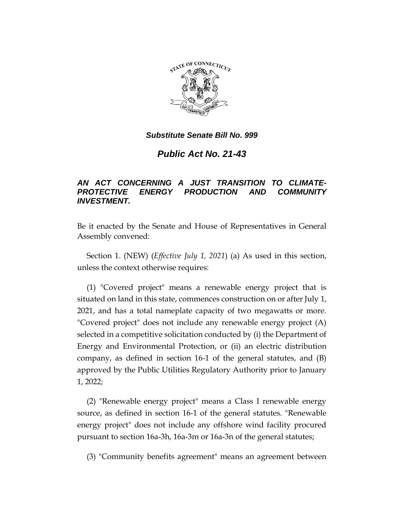

*Public Act No. 21-43*

## *AN ACT CONCERNING A JUST TRANSITION TO CLIMATE-PROTECTIVE ENERGY PRODUCTION AND COMMUNITY INVESTMENT.*

Be it enacted by the Senate and House of Representatives in General Assembly convened:

Section 1. (NEW) (*Effective July 1, 2021*) (a) As used in this section, unless the context otherwise requires:

(1) "Covered project" means a renewable energy project that is situated on land in this state, commences construction on or after July 1, 2021, and has a total nameplate capacity of two megawatts or more. "Covered project" does not include any renewable energy project (A) selected in a competitive solicitation conducted by (i) the Department of Energy and Environmental Protection, or (ii) an electric distribution company, as defined in section 16-1 of the general statutes, and (B) approved by the Public Utilities Regulatory Authority prior to January 1, 2022;

(2) "Renewable energy project" means a Class I renewable energy source, as defined in section 16-1 of the general statutes. "Renewable energy project" does not include any offshore wind facility procured pursuant to section 16a-3h, 16a-3m or 16a-3n of the general statutes;

(3) "Community benefits agreement" means an agreement between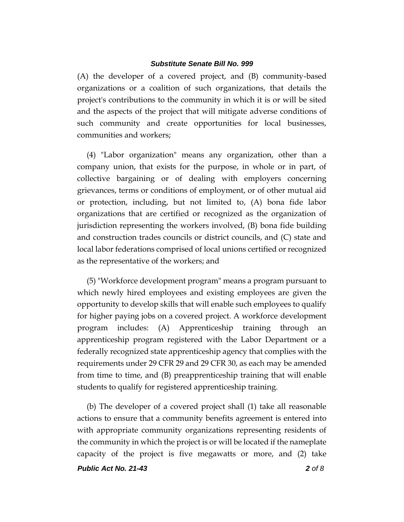(A) the developer of a covered project, and (B) community-based organizations or a coalition of such organizations, that details the project's contributions to the community in which it is or will be sited and the aspects of the project that will mitigate adverse conditions of such community and create opportunities for local businesses, communities and workers;

(4) "Labor organization" means any organization, other than a company union, that exists for the purpose, in whole or in part, of collective bargaining or of dealing with employers concerning grievances, terms or conditions of employment, or of other mutual aid or protection, including, but not limited to, (A) bona fide labor organizations that are certified or recognized as the organization of jurisdiction representing the workers involved, (B) bona fide building and construction trades councils or district councils, and (C) state and local labor federations comprised of local unions certified or recognized as the representative of the workers; and

(5) "Workforce development program" means a program pursuant to which newly hired employees and existing employees are given the opportunity to develop skills that will enable such employees to qualify for higher paying jobs on a covered project. A workforce development program includes: (A) Apprenticeship training through an apprenticeship program registered with the Labor Department or a federally recognized state apprenticeship agency that complies with the requirements under 29 CFR 29 and 29 CFR 30, as each may be amended from time to time, and (B) preapprenticeship training that will enable students to qualify for registered apprenticeship training.

(b) The developer of a covered project shall (1) take all reasonable actions to ensure that a community benefits agreement is entered into with appropriate community organizations representing residents of the community in which the project is or will be located if the nameplate capacity of the project is five megawatts or more, and (2) take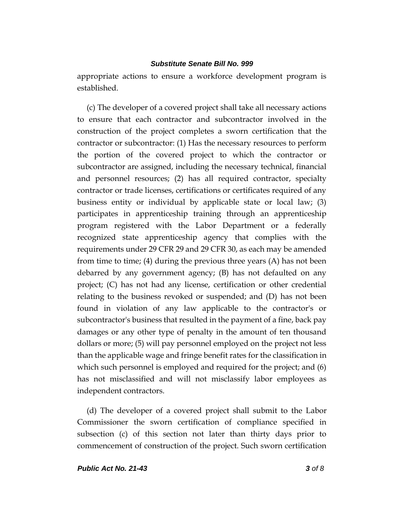appropriate actions to ensure a workforce development program is established.

(c) The developer of a covered project shall take all necessary actions to ensure that each contractor and subcontractor involved in the construction of the project completes a sworn certification that the contractor or subcontractor: (1) Has the necessary resources to perform the portion of the covered project to which the contractor or subcontractor are assigned, including the necessary technical, financial and personnel resources; (2) has all required contractor, specialty contractor or trade licenses, certifications or certificates required of any business entity or individual by applicable state or local law; (3) participates in apprenticeship training through an apprenticeship program registered with the Labor Department or a federally recognized state apprenticeship agency that complies with the requirements under 29 CFR 29 and 29 CFR 30, as each may be amended from time to time; (4) during the previous three years (A) has not been debarred by any government agency; (B) has not defaulted on any project; (C) has not had any license, certification or other credential relating to the business revoked or suspended; and (D) has not been found in violation of any law applicable to the contractor's or subcontractor's business that resulted in the payment of a fine, back pay damages or any other type of penalty in the amount of ten thousand dollars or more; (5) will pay personnel employed on the project not less than the applicable wage and fringe benefit rates for the classification in which such personnel is employed and required for the project; and (6) has not misclassified and will not misclassify labor employees as independent contractors.

(d) The developer of a covered project shall submit to the Labor Commissioner the sworn certification of compliance specified in subsection (c) of this section not later than thirty days prior to commencement of construction of the project. Such sworn certification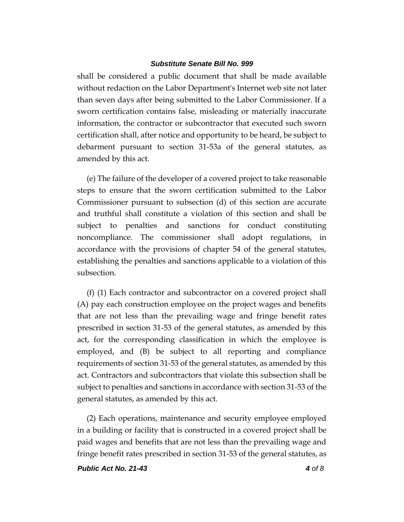shall be considered a public document that shall be made available without redaction on the Labor Department's Internet web site not later than seven days after being submitted to the Labor Commissioner. If a sworn certification contains false, misleading or materially inaccurate information, the contractor or subcontractor that executed such sworn certification shall, after notice and opportunity to be heard, be subject to debarment pursuant to section 31-53a of the general statutes, as amended by this act.

(e) The failure of the developer of a covered project to take reasonable steps to ensure that the sworn certification submitted to the Labor Commissioner pursuant to subsection (d) of this section are accurate and truthful shall constitute a violation of this section and shall be subject to penalties and sanctions for conduct constituting noncompliance. The commissioner shall adopt regulations, in accordance with the provisions of chapter 54 of the general statutes, establishing the penalties and sanctions applicable to a violation of this subsection.

(f) (1) Each contractor and subcontractor on a covered project shall (A) pay each construction employee on the project wages and benefits that are not less than the prevailing wage and fringe benefit rates prescribed in section 31-53 of the general statutes, as amended by this act, for the corresponding classification in which the employee is employed, and (B) be subject to all reporting and compliance requirements of section 31-53 of the general statutes, as amended by this act. Contractors and subcontractors that violate this subsection shall be subject to penalties and sanctions in accordance with section 31-53 of the general statutes, as amended by this act.

(2) Each operations, maintenance and security employee employed in a building or facility that is constructed in a covered project shall be paid wages and benefits that are not less than the prevailing wage and fringe benefit rates prescribed in section 31-53 of the general statutes, as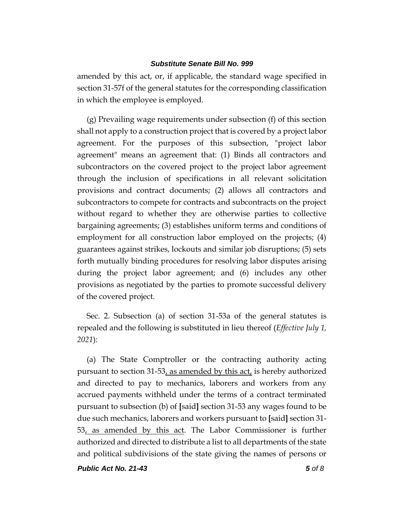amended by this act, or, if applicable, the standard wage specified in section 31-57f of the general statutes for the corresponding classification in which the employee is employed.

(g) Prevailing wage requirements under subsection (f) of this section shall not apply to a construction project that is covered by a project labor agreement. For the purposes of this subsection, "project labor agreement" means an agreement that: (1) Binds all contractors and subcontractors on the covered project to the project labor agreement through the inclusion of specifications in all relevant solicitation provisions and contract documents; (2) allows all contractors and subcontractors to compete for contracts and subcontracts on the project without regard to whether they are otherwise parties to collective bargaining agreements; (3) establishes uniform terms and conditions of employment for all construction labor employed on the projects; (4) guarantees against strikes, lockouts and similar job disruptions; (5) sets forth mutually binding procedures for resolving labor disputes arising during the project labor agreement; and (6) includes any other provisions as negotiated by the parties to promote successful delivery of the covered project.

Sec. 2. Subsection (a) of section 31-53a of the general statutes is repealed and the following is substituted in lieu thereof (*Effective July 1, 2021*):

(a) The State Comptroller or the contracting authority acting pursuant to section 31-53, as amended by this act, is hereby authorized and directed to pay to mechanics, laborers and workers from any accrued payments withheld under the terms of a contract terminated pursuant to subsection (b) of **[**said**]** section 31-53 any wages found to be due such mechanics, laborers and workers pursuant to **[**said**]** section 31- 53, as amended by this act. The Labor Commissioner is further authorized and directed to distribute a list to all departments of the state and political subdivisions of the state giving the names of persons or

*Public Act No. 21-43 5 of 8*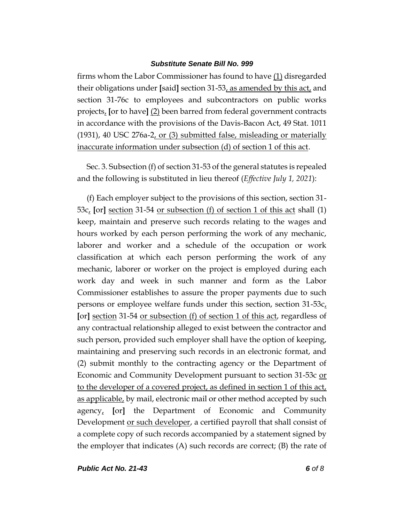firms whom the Labor Commissioner has found to have (1) disregarded their obligations under **[**said**]** section 31-53, as amended by this act, and section 31-76c to employees and subcontractors on public works projects, **[**or to have**]** (2) been barred from federal government contracts in accordance with the provisions of the Davis-Bacon Act, 49 Stat. 1011 (1931), 40 USC 276a-2, or (3) submitted false, misleading or materially inaccurate information under subsection (d) of section 1 of this act.

Sec. 3. Subsection (f) of section 31-53 of the general statutes is repealed and the following is substituted in lieu thereof (*Effective July 1, 2021*):

(f) Each employer subject to the provisions of this section, section 31- 53c, **[**or**]** section 31-54 or subsection (f) of section 1 of this act shall (1) keep, maintain and preserve such records relating to the wages and hours worked by each person performing the work of any mechanic, laborer and worker and a schedule of the occupation or work classification at which each person performing the work of any mechanic, laborer or worker on the project is employed during each work day and week in such manner and form as the Labor Commissioner establishes to assure the proper payments due to such persons or employee welfare funds under this section, section 31-53c, **[**or**]** section 31-54 or subsection (f) of section 1 of this act, regardless of any contractual relationship alleged to exist between the contractor and such person, provided such employer shall have the option of keeping, maintaining and preserving such records in an electronic format, and (2) submit monthly to the contracting agency or the Department of Economic and Community Development pursuant to section 31-53c or to the developer of a covered project, as defined in section 1 of this act, as applicable, by mail, electronic mail or other method accepted by such agency, **[**or**]** the Department of Economic and Community Development or such developer, a certified payroll that shall consist of a complete copy of such records accompanied by a statement signed by the employer that indicates (A) such records are correct; (B) the rate of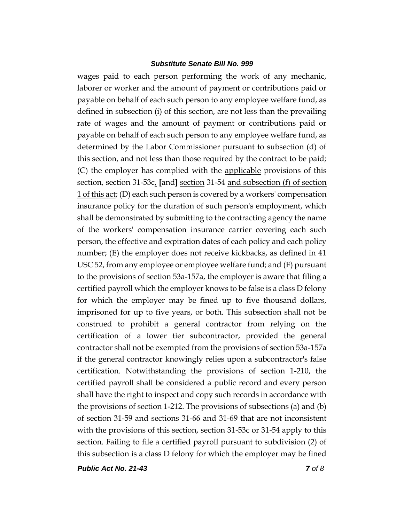wages paid to each person performing the work of any mechanic, laborer or worker and the amount of payment or contributions paid or payable on behalf of each such person to any employee welfare fund, as defined in subsection (i) of this section, are not less than the prevailing rate of wages and the amount of payment or contributions paid or payable on behalf of each such person to any employee welfare fund, as determined by the Labor Commissioner pursuant to subsection (d) of this section, and not less than those required by the contract to be paid; (C) the employer has complied with the applicable provisions of this section, section 31-53c, **[**and**]** section 31-54 and subsection (f) of section 1 of this act; (D) each such person is covered by a workers' compensation insurance policy for the duration of such person's employment, which shall be demonstrated by submitting to the contracting agency the name of the workers' compensation insurance carrier covering each such person, the effective and expiration dates of each policy and each policy number; (E) the employer does not receive kickbacks, as defined in 41 USC 52, from any employee or employee welfare fund; and (F) pursuant to the provisions of section 53a-157a, the employer is aware that filing a certified payroll which the employer knows to be false is a class D felony for which the employer may be fined up to five thousand dollars, imprisoned for up to five years, or both. This subsection shall not be construed to prohibit a general contractor from relying on the certification of a lower tier subcontractor, provided the general contractor shall not be exempted from the provisions of section 53a-157a if the general contractor knowingly relies upon a subcontractor's false certification. Notwithstanding the provisions of section 1-210, the certified payroll shall be considered a public record and every person shall have the right to inspect and copy such records in accordance with the provisions of section 1-212. The provisions of subsections (a) and (b) of section 31-59 and sections 31-66 and 31-69 that are not inconsistent with the provisions of this section, section 31-53c or 31-54 apply to this section. Failing to file a certified payroll pursuant to subdivision (2) of this subsection is a class D felony for which the employer may be fined

*Public Act No. 21-43 7 of 8*